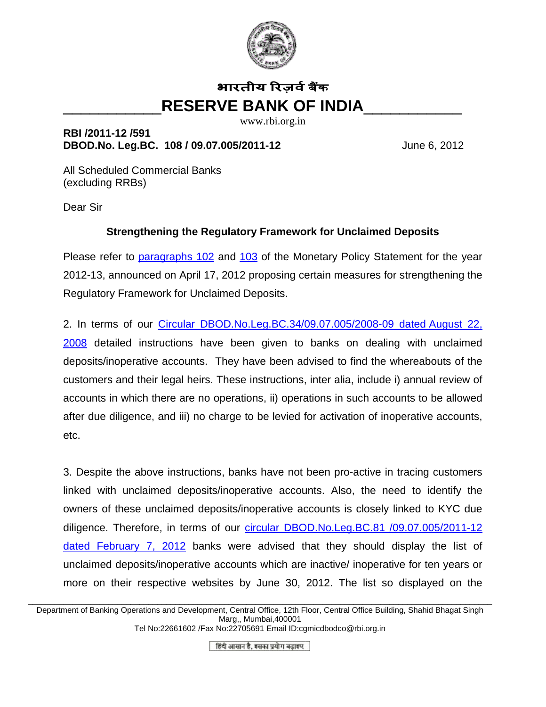

## **भारतीय रिजर्व बैंक** \_\_\_\_\_\_\_\_\_\_\_**RESERVE BANK OF INDIA**\_\_\_\_\_\_\_\_\_\_\_

www.rbi.org.in

**RBI /2011-12 /591 DBOD.No. Leg.BC. 108 / 09.07.005/2011-12** June 6, 2012

All Scheduled Commercial Banks (excluding RRBs)

Dear Sir

## **Strengthening the Regulatory Framework for Unclaimed Deposits**

Please refer to [paragraphs 102](http://rbi.org.in/scripts/NotificationUser.aspx?Id=7136&Mode=0#p102) and [103](http://rbi.org.in/scripts/NotificationUser.aspx?Id=7136&Mode=0#p103) of the Monetary Policy Statement for the year 2012-13, announced on April 17, 2012 proposing certain measures for strengthening the Regulatory Framework for Unclaimed Deposits.

2. In terms of our [Circular DBOD.No.Leg.BC.34/09.07.005/2008-09 dated August 22,](http://www.rbi.org.in/scripts/NotificationUser.aspx?Id=4430&Mode=0)  [2008](http://www.rbi.org.in/scripts/NotificationUser.aspx?Id=4430&Mode=0) detailed instructions have been given to banks on dealing with unclaimed deposits/inoperative accounts. They have been advised to find the whereabouts of the customers and their legal heirs. These instructions, inter alia, include i) annual review of accounts in which there are no operations, ii) operations in such accounts to be allowed after due diligence, and iii) no charge to be levied for activation of inoperative accounts, etc.

3. Despite the above instructions, banks have not been pro-active in tracing customers linked with unclaimed deposits/inoperative accounts. Also, the need to identify the owners of these unclaimed deposits/inoperative accounts is closely linked to KYC due diligence. Therefore, in terms of our [circular DBOD.No.Leg.BC.81 /09.07.005/2011-12](http://www.rbi.org.in/scripts/NotificationUser.aspx?Id=6994&Mode=0)  [dated February 7, 2012](http://www.rbi.org.in/scripts/NotificationUser.aspx?Id=6994&Mode=0) banks were advised that they should display the list of unclaimed deposits/inoperative accounts which are inactive/ inoperative for ten years or more on their respective websites by June 30, 2012. The list so displayed on the

\_\_\_\_\_\_\_\_\_\_\_\_\_\_\_\_\_\_\_\_\_\_\_\_\_\_\_\_\_\_\_\_\_\_\_\_\_\_\_\_\_\_\_\_\_\_\_\_\_\_\_\_\_\_\_\_\_\_\_\_\_\_\_\_\_\_\_\_\_\_\_\_\_\_\_\_\_\_\_\_\_\_\_\_\_\_\_\_\_\_\_\_\_\_\_\_\_\_\_\_\_\_\_\_ Department of Banking Operations and Development, Central Office, 12th Floor, Central Office Building, Shahid Bhagat Singh Marg,, Mumbai,400001 Tel No:22661602 /Fax No:22705691 Email ID:cgmicdbodco@rbi.org.in

हिंदी आसान है, इसका प्रयोग बढाइए